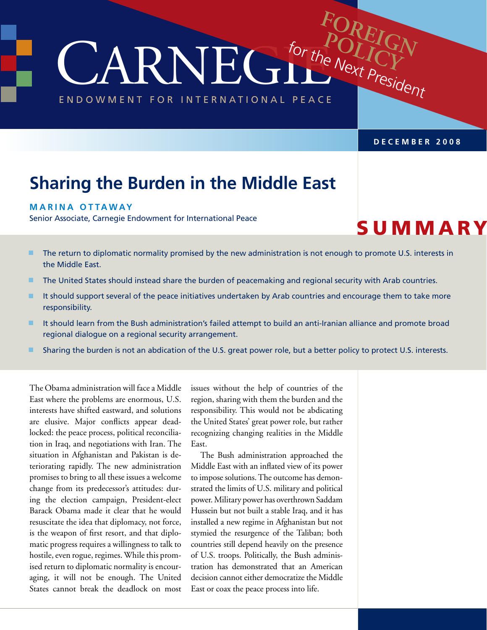CARNEGIE ENDOWMENT FOR INTERNATIONAL PEACE for the Next President

**December 2008**

**FOREIGN**

POLICI

# **Sharing the Burden in the Middle East**

#### **M arina Ottaway**

Senior Associate, Carnegie Endowment for International Peace

**SUMMARY** 

- **n** The return to diplomatic normality promised by the new administration is not enough to promote U.S. interests in the Middle East.
- **n** The United States should instead share the burden of peacemaking and regional security with Arab countries.
- In It should support several of the peace initiatives undertaken by Arab countries and encourage them to take more responsibility.
- **n** It should learn from the Bush administration's failed attempt to build an anti-Iranian alliance and promote broad regional dialogue on a regional security arrangement.
- **n** Sharing the burden is not an abdication of the U.S. great power role, but a better policy to protect U.S. interests.

The Obama administration will face a Middle East where the problems are enormous, U.S. interests have shifted eastward, and solutions are elusive. Major conflicts appear deadlocked: the peace process, political reconciliation in Iraq, and negotiations with Iran. The situation in Afghanistan and Pakistan is deteriorating rapidly. The new administration promises to bring to all these issues a welcome change from its predecessor's attitudes: during the election campaign, President-elect Barack Obama made it clear that he would resuscitate the idea that diplomacy, not force, is the weapon of first resort, and that diplomatic progress requires a willingness to talk to hostile, even rogue, regimes. While this promised return to diplomatic normality is encouraging, it will not be enough. The United States cannot break the deadlock on most

issues without the help of countries of the region, sharing with them the burden and the responsibility. This would not be abdicating the United States' great power role, but rather recognizing changing realities in the Middle East.

The Bush administration approached the Middle East with an inflated view of its power to impose solutions. The outcome has demonstrated the limits of U.S. military and political power. Military power has overthrown Saddam Hussein but not built a stable Iraq, and it has installed a new regime in Afghanistan but not stymied the resurgence of the Taliban; both countries still depend heavily on the presence of U.S. troops. Politically, the Bush administration has demonstrated that an American decision cannot either democratize the Middle East or coax the peace process into life.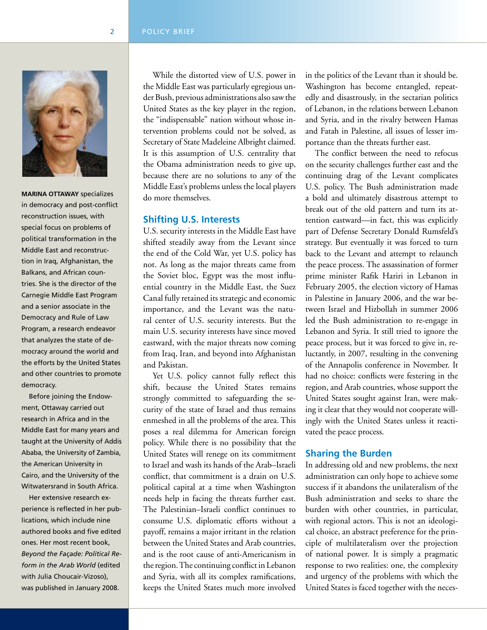

**Marina Ottaway** specializes in democracy and post-conflict reconstruction issues, with special focus on problems of political transformation in the Middle East and reconstruction in Iraq, Afghanistan, the Balkans, and African countries. She is the director of the Carnegie Middle East Program and a senior associate in the Democracy and Rule of Law Program, a research endeavor that analyzes the state of democracy around the world and the efforts by the United States and other countries to promote democracy.

 Before joining the Endowment, Ottaway carried out research in Africa and in the Middle East for many years and taught at the University of Addis Ababa, the University of Zambia, the American University in Cairo, and the University of the Witwatersrand in South Africa.

 Her extensive research experience is reflected in her publications, which include nine authored books and five edited ones. Her most recent book, *Beyond the Façade: Political Reform in the Arab World* (edited with Julia Choucair-Vizoso), was published in January 2008.

While the distorted view of U.S. power in the Middle East was particularly egregious under Bush, previous administrations also saw the United States as the key player in the region, the "indispensable" nation without whose intervention problems could not be solved, as Secretary of State Madeleine Albright claimed. It is this assumption of U.S. centrality that the Obama administration needs to give up, because there are no solutions to any of the Middle East's problems unless the local players do more themselves.

#### **Shifting U.S. Interests**

U.S. security interests in the Middle East have shifted steadily away from the Levant since the end of the Cold War, yet U.S. policy has not. As long as the major threats came from the Soviet bloc, Egypt was the most influential country in the Middle East, the Suez Canal fully retained its strategic and economic importance, and the Levant was the natural center of U.S. security interests. But the main U.S. security interests have since moved eastward, with the major threats now coming from Iraq, Iran, and beyond into Afghanistan and Pakistan.

Yet U.S. policy cannot fully reflect this shift, because the United States remains strongly committed to safeguarding the security of the state of Israel and thus remains enmeshed in all the problems of the area. This poses a real dilemma for American foreign policy. While there is no possibility that the United States will renege on its commitment to Israel and wash its hands of the Arab–Israeli conflict, that commitment is a drain on U.S. political capital at a time when Washington needs help in facing the threats further east. The Palestinian–Israeli conflict continues to consume U.S. diplomatic efforts without a payoff, remains a major irritant in the relation between the United States and Arab countries, and is the root cause of anti-Americanism in the region. The continuing conflict in Lebanon and Syria, with all its complex ramifications, keeps the United States much more involved

in the politics of the Levant than it should be. Washington has become entangled, repeatedly and disastrously, in the sectarian politics of Lebanon, in the relations between Lebanon and Syria, and in the rivalry between Hamas and Fatah in Palestine, all issues of lesser importance than the threats further east.

The conflict between the need to refocus on the security challenges further east and the continuing drag of the Levant complicates U.S. policy. The Bush administration made a bold and ultimately disastrous attempt to break out of the old pattern and turn its attention eastward—in fact, this was explicitly part of Defense Secretary Donald Rumsfeld's strategy. But eventually it was forced to turn back to the Levant and attempt to relaunch the peace process. The assassination of former prime minister Rafik Hariri in Lebanon in February 2005, the election victory of Hamas in Palestine in January 2006, and the war between Israel and Hizbollah in summer 2006 led the Bush administration to re-engage in Lebanon and Syria. It still tried to ignore the peace process, but it was forced to give in, reluctantly, in 2007, resulting in the convening of the Annapolis conference in November. It had no choice: conflicts were festering in the region, and Arab countries, whose support the United States sought against Iran, were making it clear that they would not cooperate willingly with the United States unless it reactivated the peace process.

#### **Sharing the Burden**

In addressing old and new problems, the next administration can only hope to achieve some success if it abandons the unilateralism of the Bush administration and seeks to share the burden with other countries, in particular, with regional actors. This is not an ideological choice, an abstract preference for the principle of multilateralism over the projection of national power. It is simply a pragmatic response to two realities: one, the complexity and urgency of the problems with which the United States is faced together with the neces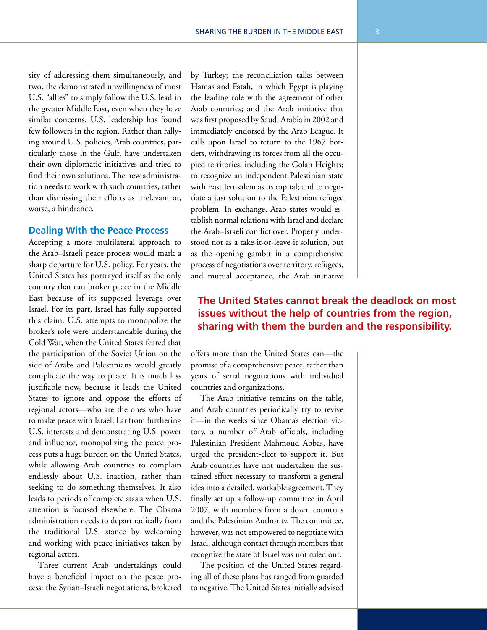sity of addressing them simultaneously, and two, the demonstrated unwillingness of most U.S. "allies" to simply follow the U.S. lead in the greater Middle East, even when they have similar concerns. U.S. leadership has found few followers in the region. Rather than rallying around U.S. policies, Arab countries, particularly those in the Gulf, have undertaken their own diplomatic initiatives and tried to find their own solutions. The new administration needs to work with such countries, rather than dismissing their efforts as irrelevant or, worse, a hindrance.

#### **Dealing With the Peace Process**

Accepting a more multilateral approach to the Arab–Israeli peace process would mark a sharp departure for U.S. policy. For years, the United States has portrayed itself as the only country that can broker peace in the Middle East because of its supposed leverage over Israel. For its part, Israel has fully supported this claim. U.S. attempts to monopolize the broker's role were understandable during the Cold War, when the United States feared that the participation of the Soviet Union on the side of Arabs and Palestinians would greatly complicate the way to peace. It is much less justifiable now, because it leads the United States to ignore and oppose the efforts of regional actors—who are the ones who have to make peace with Israel. Far from furthering U.S. interests and demonstrating U.S. power and influence, monopolizing the peace process puts a huge burden on the United States, while allowing Arab countries to complain endlessly about U.S. inaction, rather than seeking to do something themselves. It also leads to periods of complete stasis when U.S. attention is focused elsewhere. The Obama administration needs to depart radically from the traditional U.S. stance by welcoming and working with peace initiatives taken by regional actors.

Three current Arab undertakings could have a beneficial impact on the peace process: the Syrian–Israeli negotiations, brokered by Turkey; the reconciliation talks between Hamas and Fatah, in which Egypt is playing the leading role with the agreement of other Arab countries; and the Arab initiative that was first proposed by Saudi Arabia in 2002 and immediately endorsed by the Arab League. It calls upon Israel to return to the 1967 borders, withdrawing its forces from all the occupied territories, including the Golan Heights; to recognize an independent Palestinian state with East Jerusalem as its capital; and to negotiate a just solution to the Palestinian refugee problem. In exchange, Arab states would establish normal relations with Israel and declare the Arab–Israeli conflict over. Properly understood not as a take-it-or-leave-it solution, but as the opening gambit in a comprehensive process of negotiations over territory, refugees, and mutual acceptance, the Arab initiative

## **The United States cannot break the deadlock on most issues without the help of countries from the region, sharing with them the burden and the responsibility.**

offers more than the United States can—the promise of a comprehensive peace, rather than years of serial negotiations with individual countries and organizations.

The Arab initiative remains on the table, and Arab countries periodically try to revive it—in the weeks since Obama's election victory, a number of Arab officials, including Palestinian President Mahmoud Abbas, have urged the president-elect to support it. But Arab countries have not undertaken the sustained effort necessary to transform a general idea into a detailed, workable agreement. They finally set up a follow-up committee in April 2007, with members from a dozen countries and the Palestinian Authority. The committee, however, was not empowered to negotiate with Israel, although contact through members that recognize the state of Israel was not ruled out.

The position of the United States regarding all of these plans has ranged from guarded to negative. The United States initially advised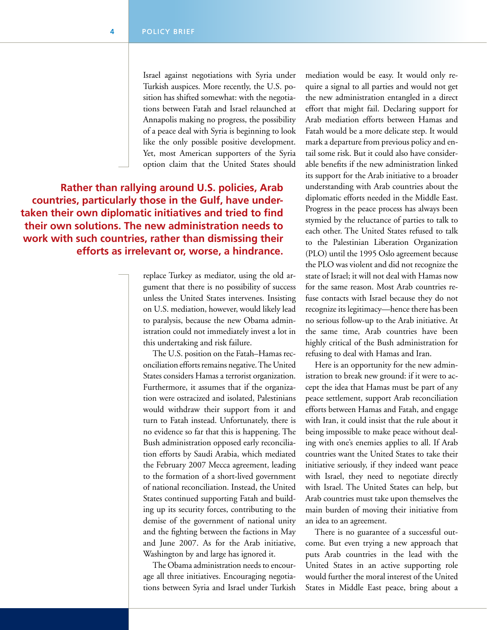Israel against negotiations with Syria under Turkish auspices. More recently, the U.S. position has shifted somewhat: with the negotiations between Fatah and Israel relaunched at Annapolis making no progress, the possibility of a peace deal with Syria is beginning to look like the only possible positive development. Yet, most American supporters of the Syria option claim that the United States should

**Rather than rallying around U.S. policies, Arab countries, particularly those in the Gulf, have undertaken their own diplomatic initiatives and tried to find their own solutions. The new administration needs to work with such countries, rather than dismissing their efforts as irrelevant or, worse, a hindrance.**

> replace Turkey as mediator, using the old argument that there is no possibility of success unless the United States intervenes. Insisting on U.S. mediation, however, would likely lead to paralysis, because the new Obama administration could not immediately invest a lot in this undertaking and risk failure.

> The U.S. position on the Fatah–Hamas reconciliation efforts remains negative. The United States considers Hamas a terrorist organization. Furthermore, it assumes that if the organization were ostracized and isolated, Palestinians would withdraw their support from it and turn to Fatah instead. Unfortunately, there is no evidence so far that this is happening. The Bush administration opposed early reconciliation efforts by Saudi Arabia, which mediated the February 2007 Mecca agreement, leading to the formation of a short-lived government of national reconciliation. Instead, the United States continued supporting Fatah and building up its security forces, contributing to the demise of the government of national unity and the fighting between the factions in May and June 2007. As for the Arab initiative, Washington by and large has ignored it.

> The Obama administration needs to encourage all three initiatives. Encouraging negotiations between Syria and Israel under Turkish

mediation would be easy. It would only require a signal to all parties and would not get the new administration entangled in a direct effort that might fail. Declaring support for Arab mediation efforts between Hamas and Fatah would be a more delicate step. It would mark a departure from previous policy and entail some risk. But it could also have considerable benefits if the new administration linked its support for the Arab initiative to a broader understanding with Arab countries about the diplomatic efforts needed in the Middle East. Progress in the peace process has always been stymied by the reluctance of parties to talk to each other. The United States refused to talk to the Palestinian Liberation Organization (PLO) until the 1995 Oslo agreement because the PLO was violent and did not recognize the state of Israel; it will not deal with Hamas now for the same reason. Most Arab countries refuse contacts with Israel because they do not recognize its legitimacy—hence there has been no serious follow-up to the Arab initiative. At the same time, Arab countries have been highly critical of the Bush administration for refusing to deal with Hamas and Iran.

Here is an opportunity for the new administration to break new ground: if it were to accept the idea that Hamas must be part of any peace settlement, support Arab reconciliation efforts between Hamas and Fatah, and engage with Iran, it could insist that the rule about it being impossible to make peace without dealing with one's enemies applies to all. If Arab countries want the United States to take their initiative seriously, if they indeed want peace with Israel, they need to negotiate directly with Israel. The United States can help, but Arab countries must take upon themselves the main burden of moving their initiative from an idea to an agreement.

There is no guarantee of a successful outcome. But even trying a new approach that puts Arab countries in the lead with the United States in an active supporting role would further the moral interest of the United States in Middle East peace, bring about a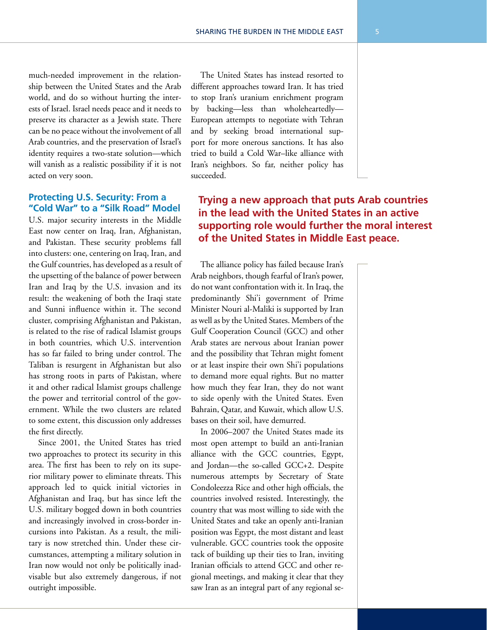much-needed improvement in the relationship between the United States and the Arab world, and do so without hurting the interests of Israel. Israel needs peace and it needs to preserve its character as a Jewish state. There can be no peace without the involvement of all Arab countries, and the preservation of Israel's identity requires a two-state solution—which will vanish as a realistic possibility if it is not acted on very soon.

#### **Protecting U.S. Security: From a "Cold War" to a "Silk Road" Model**

U.S. major security interests in the Middle East now center on Iraq, Iran, Afghanistan, and Pakistan. These security problems fall into clusters: one, centering on Iraq, Iran, and the Gulf countries, has developed as a result of the upsetting of the balance of power between Iran and Iraq by the U.S. invasion and its result: the weakening of both the Iraqi state and Sunni influence within it. The second cluster, comprising Afghanistan and Pakistan, is related to the rise of radical Islamist groups in both countries, which U.S. intervention has so far failed to bring under control. The Taliban is resurgent in Afghanistan but also has strong roots in parts of Pakistan, where it and other radical Islamist groups challenge the power and territorial control of the government. While the two clusters are related to some extent, this discussion only addresses the first directly.

Since 2001, the United States has tried two approaches to protect its security in this area. The first has been to rely on its superior military power to eliminate threats. This approach led to quick initial victories in Afghanistan and Iraq, but has since left the U.S. military bogged down in both countries and increasingly involved in cross-border incursions into Pakistan. As a result, the military is now stretched thin. Under these circumstances, attempting a military solution in Iran now would not only be politically inadvisable but also extremely dangerous, if not outright impossible.

The United States has instead resorted to different approaches toward Iran. It has tried to stop Iran's uranium enrichment program by backing—less than wholeheartedly— European attempts to negotiate with Tehran and by seeking broad international support for more onerous sanctions. It has also tried to build a Cold War–like alliance with Iran's neighbors. So far, neither policy has succeeded.

## **Trying a new approach that puts Arab countries in the lead with the United States in an active supporting role would further the moral interest of the United States in Middle East peace.**

The alliance policy has failed because Iran's Arab neighbors, though fearful of Iran's power, do not want confrontation with it. In Iraq, the predominantly Shi'i government of Prime Minister Nouri al-Maliki is supported by Iran as well as by the United States. Members of the Gulf Cooperation Council (GCC) and other Arab states are nervous about Iranian power and the possibility that Tehran might foment or at least inspire their own Shi'i populations to demand more equal rights. But no matter how much they fear Iran, they do not want to side openly with the United States. Even Bahrain, Qatar, and Kuwait, which allow U.S. bases on their soil, have demurred.

In 2006–2007 the United States made its most open attempt to build an anti-Iranian alliance with the GCC countries, Egypt, and Jordan—the so-called GCC+2. Despite numerous attempts by Secretary of State Condoleezza Rice and other high officials, the countries involved resisted. Interestingly, the country that was most willing to side with the United States and take an openly anti-Iranian position was Egypt, the most distant and least vulnerable. GCC countries took the opposite tack of building up their ties to Iran, inviting Iranian officials to attend GCC and other regional meetings, and making it clear that they saw Iran as an integral part of any regional se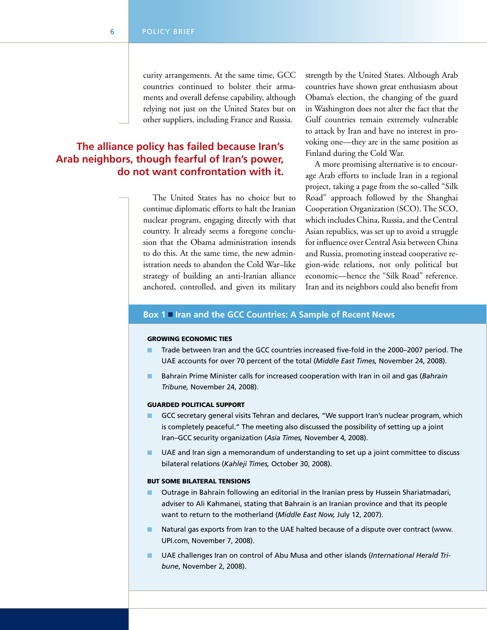curity arrangements. At the same time, GCC countries continued to bolster their armaments and overall defense capability, although relying not just on the United States but on other suppliers, including France and Russia.

## **The alliance policy has failed because Iran's Arab neighbors, though fearful of Iran's power, do not want confrontation with it.**

The United States has no choice but to continue diplomatic efforts to halt the Iranian nuclear program, engaging directly with that country. It already seems a foregone conclusion that the Obama administration intends to do this. At the same time, the new administration needs to abandon the Cold War–like strategy of building an anti-Iranian alliance anchored, controlled, and given its military strength by the United States. Although Arab countries have shown great enthusiasm about Obama's election, the changing of the guard in Washington does not alter the fact that the Gulf countries remain extremely vulnerable to attack by Iran and have no interest in provoking one—they are in the same position as Finland during the Cold War.

A more promising alternative is to encourage Arab efforts to include Iran in a regional project, taking a page from the so-called "Silk Road" approach followed by the Shanghai Cooperation Organization (SCO). The SCO, which includes China, Russia, and the Central Asian republics, was set up to avoid a struggle for influence over Central Asia between China and Russia, promoting instead cooperative region-wide relations, not only political but economic—hence the "Silk Road" reference. Iran and its neighbors could also benefit from

#### **Box 1** n **Iran and the GCC Countries: A Sample of Recent News**

#### Growing Economic Ties

- n Trade between Iran and the GCC countries increased five-fold in the 2000–2007 period. The UAE accounts for over 70 percent of the total (*Middle East Times,* November 24, 2008).
- n Bahrain Prime Minister calls for increased cooperation with Iran in oil and gas (*Bahrain Tribune,* November 24, 2008).

#### Guarded Political Support

- GCC secretary general visits Tehran and declares, "We support Iran's nuclear program, which is completely peaceful." The meeting also discussed the possibility of setting up a joint Iran–GCC security organization (*Asia Times,* November 4, 2008).
- UAE and Iran sign a memorandum of understanding to set up a joint committee to discuss bilateral relations (*Kahleji Times,* October 30, 2008).

#### But Some Bilateral Tensions

- n Outrage in Bahrain following an editorial in the Iranian press by Hussein Shariatmadari, adviser to Ali Kahmanei, stating that Bahrain is an Iranian province and that its people want to return to the motherland (*Middle East Now,* July 12, 2007).
- n Natural gas exports from Iran to the UAE halted because of a dispute over contract (www. UPI.com, November 7, 2008).
- n UAE challenges Iran on control of Abu Musa and other islands (*International Herald Tribune*, November 2, 2008).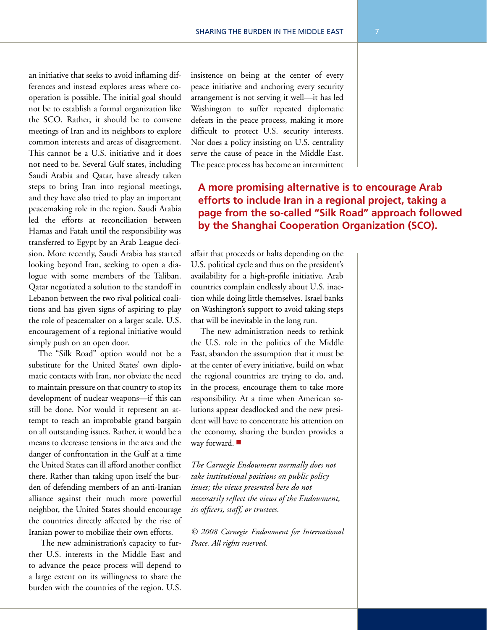an initiative that seeks to avoid inflaming differences and instead explores areas where cooperation is possible. The initial goal should not be to establish a formal organization like the SCO. Rather, it should be to convene meetings of Iran and its neighbors to explore common interests and areas of disagreement. This cannot be a U.S. initiative and it does not need to be. Several Gulf states, including Saudi Arabia and Qatar, have already taken steps to bring Iran into regional meetings, and they have also tried to play an important peacemaking role in the region. Saudi Arabia led the efforts at reconciliation between Hamas and Fatah until the responsibility was transferred to Egypt by an Arab League decision. More recently, Saudi Arabia has started looking beyond Iran, seeking to open a dialogue with some members of the Taliban. Qatar negotiated a solution to the standoff in Lebanon between the two rival political coalitions and has given signs of aspiring to play the role of peacemaker on a larger scale. U.S. encouragement of a regional initiative would simply push on an open door.

The "Silk Road" option would not be a substitute for the United States' own diplomatic contacts with Iran, nor obviate the need to maintain pressure on that country to stop its development of nuclear weapons—if this can still be done. Nor would it represent an attempt to reach an improbable grand bargain on all outstanding issues. Rather, it would be a means to decrease tensions in the area and the danger of confrontation in the Gulf at a time the United States can ill afford another conflict there. Rather than taking upon itself the burden of defending members of an anti-Iranian alliance against their much more powerful neighbor, the United States should encourage the countries directly affected by the rise of Iranian power to mobilize their own efforts.

 The new administration's capacity to further U.S. interests in the Middle East and to advance the peace process will depend to a large extent on its willingness to share the burden with the countries of the region. U.S.

insistence on being at the center of every peace initiative and anchoring every security arrangement is not serving it well—it has led Washington to suffer repeated diplomatic defeats in the peace process, making it more difficult to protect U.S. security interests. Nor does a policy insisting on U.S. centrality serve the cause of peace in the Middle East. The peace process has become an intermittent

# **A more promising alternative is to encourage Arab efforts to include Iran in a regional project, taking a page from the so-called "Silk Road" approach followed by the Shanghai Cooperation Organization (SCO).**

affair that proceeds or halts depending on the U.S. political cycle and thus on the president's availability for a high-profile initiative. Arab countries complain endlessly about U.S. inaction while doing little themselves. Israel banks on Washington's support to avoid taking steps that will be inevitable in the long run.

The new administration needs to rethink the U.S. role in the politics of the Middle East, abandon the assumption that it must be at the center of every initiative, build on what the regional countries are trying to do, and, in the process, encourage them to take more responsibility. At a time when American solutions appear deadlocked and the new president will have to concentrate his attention on the economy, sharing the burden provides a way forward.  $\blacksquare$ 

*The Carnegie Endowment normally does not take institutional positions on public policy issues; the views presented here do not necessarily reflect the views of the Endowment, its officers, staff, or trustees.*

*© 2008 Carnegie Endowment for International Peace. All rights reserved.*